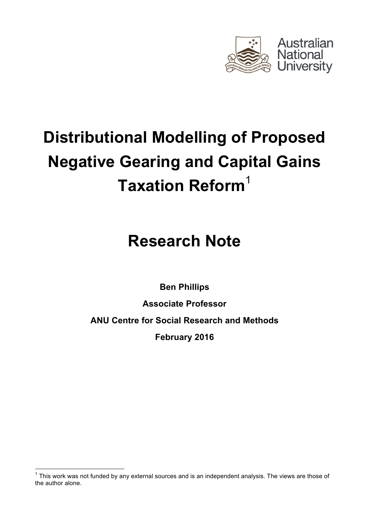

# **Distributional Modelling of Proposed Negative Gearing and Capital Gains Taxation Reform**<sup>1</sup>

## **Research Note**

**Ben Phillips**

**Associate Professor ANU Centre for Social Research and Methods February 2016**

 $1$  This work was not funded by any external sources and is an independent analysis. The views are those of the author alone.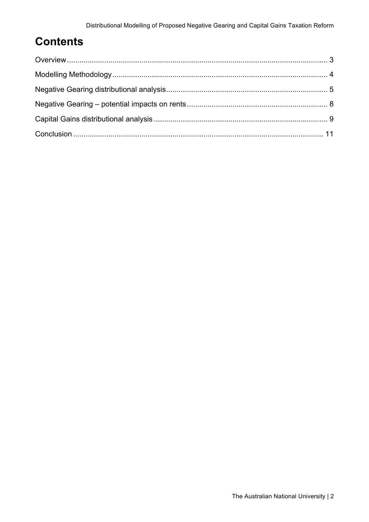## **Contents**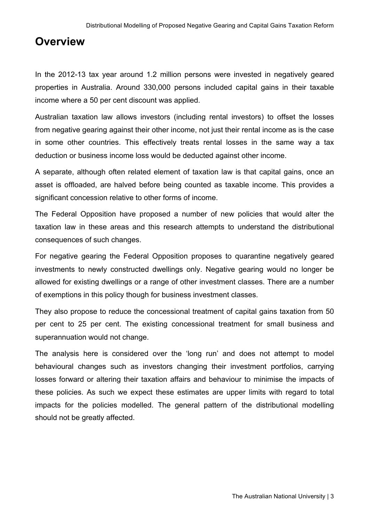## **Overview**

In the 2012-13 tax year around 1.2 million persons were invested in negatively geared properties in Australia. Around 330,000 persons included capital gains in their taxable income where a 50 per cent discount was applied.

Australian taxation law allows investors (including rental investors) to offset the losses from negative gearing against their other income, not just their rental income as is the case in some other countries. This effectively treats rental losses in the same way a tax deduction or business income loss would be deducted against other income.

A separate, although often related element of taxation law is that capital gains, once an asset is offloaded, are halved before being counted as taxable income. This provides a significant concession relative to other forms of income.

The Federal Opposition have proposed a number of new policies that would alter the taxation law in these areas and this research attempts to understand the distributional consequences of such changes.

For negative gearing the Federal Opposition proposes to quarantine negatively geared investments to newly constructed dwellings only. Negative gearing would no longer be allowed for existing dwellings or a range of other investment classes. There are a number of exemptions in this policy though for business investment classes.

They also propose to reduce the concessional treatment of capital gains taxation from 50 per cent to 25 per cent. The existing concessional treatment for small business and superannuation would not change.

The analysis here is considered over the 'long run' and does not attempt to model behavioural changes such as investors changing their investment portfolios, carrying losses forward or altering their taxation affairs and behaviour to minimise the impacts of these policies. As such we expect these estimates are upper limits with regard to total impacts for the policies modelled. The general pattern of the distributional modelling should not be greatly affected.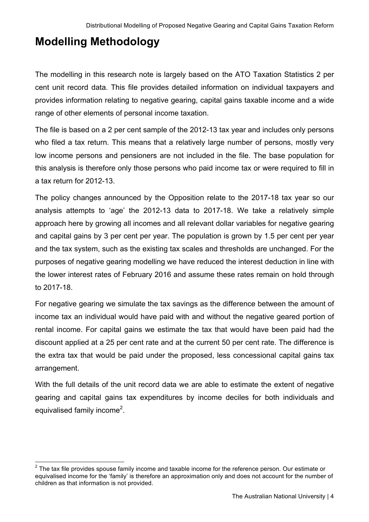## **Modelling Methodology**

The modelling in this research note is largely based on the ATO Taxation Statistics 2 per cent unit record data. This file provides detailed information on individual taxpayers and provides information relating to negative gearing, capital gains taxable income and a wide range of other elements of personal income taxation.

The file is based on a 2 per cent sample of the 2012-13 tax year and includes only persons who filed a tax return. This means that a relatively large number of persons, mostly very low income persons and pensioners are not included in the file. The base population for this analysis is therefore only those persons who paid income tax or were required to fill in a tax return for 2012-13.

The policy changes announced by the Opposition relate to the 2017-18 tax year so our analysis attempts to 'age' the 2012-13 data to 2017-18. We take a relatively simple approach here by growing all incomes and all relevant dollar variables for negative gearing and capital gains by 3 per cent per year. The population is grown by 1.5 per cent per year and the tax system, such as the existing tax scales and thresholds are unchanged. For the purposes of negative gearing modelling we have reduced the interest deduction in line with the lower interest rates of February 2016 and assume these rates remain on hold through to 2017-18.

For negative gearing we simulate the tax savings as the difference between the amount of income tax an individual would have paid with and without the negative geared portion of rental income. For capital gains we estimate the tax that would have been paid had the discount applied at a 25 per cent rate and at the current 50 per cent rate. The difference is the extra tax that would be paid under the proposed, less concessional capital gains tax arrangement.

With the full details of the unit record data we are able to estimate the extent of negative gearing and capital gains tax expenditures by income deciles for both individuals and equivalised family income<sup>2</sup>.

 $2$  The tax file provides spouse family income and taxable income for the reference person. Our estimate or equivalised income for the 'family' is therefore an approximation only and does not account for the number of children as that information is not provided.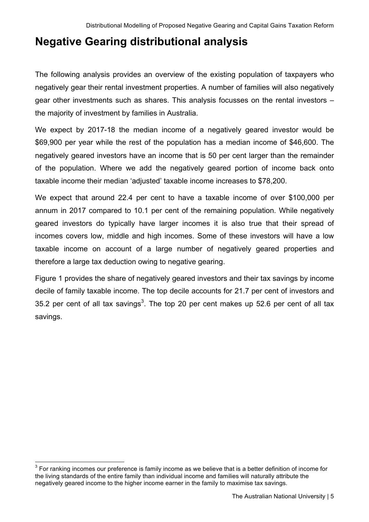## **Negative Gearing distributional analysis**

The following analysis provides an overview of the existing population of taxpayers who negatively gear their rental investment properties. A number of families will also negatively gear other investments such as shares. This analysis focusses on the rental investors – the majority of investment by families in Australia.

We expect by 2017-18 the median income of a negatively geared investor would be \$69,900 per year while the rest of the population has a median income of \$46,600. The negatively geared investors have an income that is 50 per cent larger than the remainder of the population. Where we add the negatively geared portion of income back onto taxable income their median 'adjusted' taxable income increases to \$78,200.

We expect that around 22.4 per cent to have a taxable income of over \$100,000 per annum in 2017 compared to 10.1 per cent of the remaining population. While negatively geared investors do typically have larger incomes it is also true that their spread of incomes covers low, middle and high incomes. Some of these investors will have a low taxable income on account of a large number of negatively geared properties and therefore a large tax deduction owing to negative gearing.

Figure 1 provides the share of negatively geared investors and their tax savings by income decile of family taxable income. The top decile accounts for 21.7 per cent of investors and 35.2 per cent of all tax savings<sup>3</sup>. The top 20 per cent makes up 52.6 per cent of all tax savings.

 $3$  For ranking incomes our preference is family income as we believe that is a better definition of income for the living standards of the entire family than individual income and families will naturally attribute the negatively geared income to the higher income earner in the family to maximise tax savings.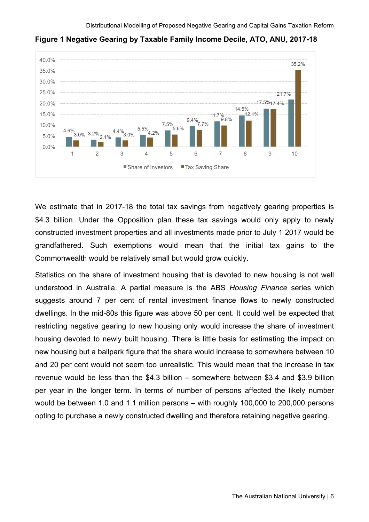

**Figure 1 Negative Gearing by Taxable Family Income Decile, ATO, ANU, 2017-18**

We estimate that in 2017-18 the total tax savings from negatively gearing properties is \$4.3 billion. Under the Opposition plan these tax savings would only apply to newly constructed investment properties and all investments made prior to July 1 2017 would be grandfathered. Such exemptions would mean that the initial tax gains to the Commonwealth would be relatively small but would grow quickly.

Statistics on the share of investment housing that is devoted to new housing is not well understood in Australia. A partial measure is the ABS *Housing Finance* series which suggests around 7 per cent of rental investment finance flows to newly constructed dwellings. In the mid-80s this figure was above 50 per cent. It could well be expected that restricting negative gearing to new housing only would increase the share of investment housing devoted to newly built housing. There is little basis for estimating the impact on new housing but a ballpark figure that the share would increase to somewhere between 10 and 20 per cent would not seem too unrealistic. This would mean that the increase in tax revenue would be less than the \$4.3 billion – somewhere between \$3.4 and \$3.9 billion per year in the longer term. In terms of number of persons affected the likely number would be between 1.0 and 1.1 million persons – with roughly 100,000 to 200,000 persons opting to purchase a newly constructed dwelling and therefore retaining negative gearing.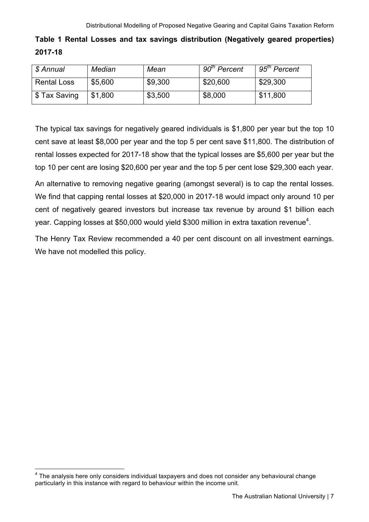#### **Table 1 Rental Losses and tax savings distribution (Negatively geared properties) 2017-18**

| \$ Annual          | Median  | Mean    | 90 <sup>th</sup> Percent | 95 <sup>th</sup> Percent |
|--------------------|---------|---------|--------------------------|--------------------------|
| <b>Rental Loss</b> | \$5,600 | \$9,300 | \$20,600                 | \$29,300                 |
| \$ Tax Saving      | \$1,800 | \$3,500 | \$8,000                  | \$11,800                 |

The typical tax savings for negatively geared individuals is \$1,800 per year but the top 10 cent save at least \$8,000 per year and the top 5 per cent save \$11,800. The distribution of rental losses expected for 2017-18 show that the typical losses are \$5,600 per year but the top 10 per cent are losing \$20,600 per year and the top 5 per cent lose \$29,300 each year.

An alternative to removing negative gearing (amongst several) is to cap the rental losses. We find that capping rental losses at \$20,000 in 2017-18 would impact only around 10 per cent of negatively geared investors but increase tax revenue by around \$1 billion each year. Capping losses at \$50,000 would yield \$300 million in extra taxation revenue<sup>4</sup>.

The Henry Tax Review recommended a 40 per cent discount on all investment earnings. We have not modelled this policy.

 $4$  The analysis here only considers individual taxpayers and does not consider any behavioural change particularly in this instance with regard to behaviour within the income unit.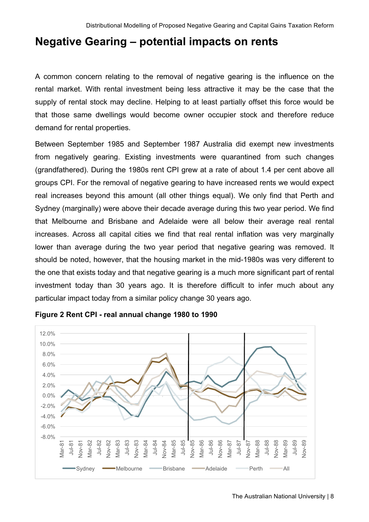## **Negative Gearing – potential impacts on rents**

A common concern relating to the removal of negative gearing is the influence on the rental market. With rental investment being less attractive it may be the case that the supply of rental stock may decline. Helping to at least partially offset this force would be that those same dwellings would become owner occupier stock and therefore reduce demand for rental properties.

Between September 1985 and September 1987 Australia did exempt new investments from negatively gearing. Existing investments were quarantined from such changes (grandfathered). During the 1980s rent CPI grew at a rate of about 1.4 per cent above all groups CPI. For the removal of negative gearing to have increased rents we would expect real increases beyond this amount (all other things equal). We only find that Perth and Sydney (marginally) were above their decade average during this two year period. We find that Melbourne and Brisbane and Adelaide were all below their average real rental increases. Across all capital cities we find that real rental inflation was very marginally lower than average during the two year period that negative gearing was removed. It should be noted, however, that the housing market in the mid-1980s was very different to the one that exists today and that negative gearing is a much more significant part of rental investment today than 30 years ago. It is therefore difficult to infer much about any particular impact today from a similar policy change 30 years ago.



#### **Figure 2 Rent CPI - real annual change 1980 to 1990**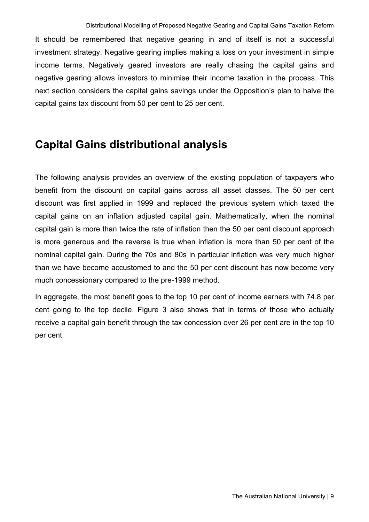It should be remembered that negative gearing in and of itself is not a successful investment strategy. Negative gearing implies making a loss on your investment in simple income terms. Negatively geared investors are really chasing the capital gains and negative gearing allows investors to minimise their income taxation in the process. This next section considers the capital gains savings under the Opposition's plan to halve the capital gains tax discount from 50 per cent to 25 per cent.

## **Capital Gains distributional analysis**

The following analysis provides an overview of the existing population of taxpayers who benefit from the discount on capital gains across all asset classes. The 50 per cent discount was first applied in 1999 and replaced the previous system which taxed the capital gains on an inflation adjusted capital gain. Mathematically, when the nominal capital gain is more than twice the rate of inflation then the 50 per cent discount approach is more generous and the reverse is true when inflation is more than 50 per cent of the nominal capital gain. During the 70s and 80s in particular inflation was very much higher than we have become accustomed to and the 50 per cent discount has now become very much concessionary compared to the pre-1999 method.

In aggregate, the most benefit goes to the top 10 per cent of income earners with 74.8 per cent going to the top decile. Figure 3 also shows that in terms of those who actually receive a capital gain benefit through the tax concession over 26 per cent are in the top 10 per cent.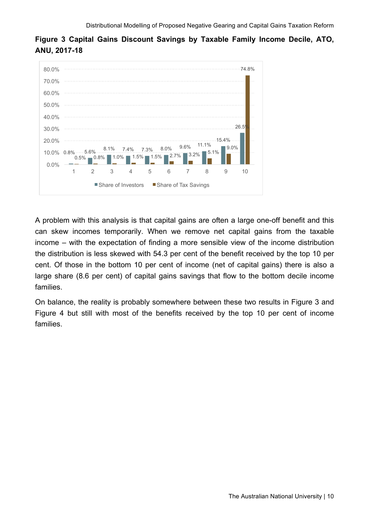

**Figure 3 Capital Gains Discount Savings by Taxable Family Income Decile, ATO, ANU, 2017-18**

A problem with this analysis is that capital gains are often a large one-off benefit and this can skew incomes temporarily. When we remove net capital gains from the taxable income – with the expectation of finding a more sensible view of the income distribution the distribution is less skewed with 54.3 per cent of the benefit received by the top 10 per cent. Of those in the bottom 10 per cent of income (net of capital gains) there is also a large share (8.6 per cent) of capital gains savings that flow to the bottom decile income families.

On balance, the reality is probably somewhere between these two results in Figure 3 and Figure 4 but still with most of the benefits received by the top 10 per cent of income families.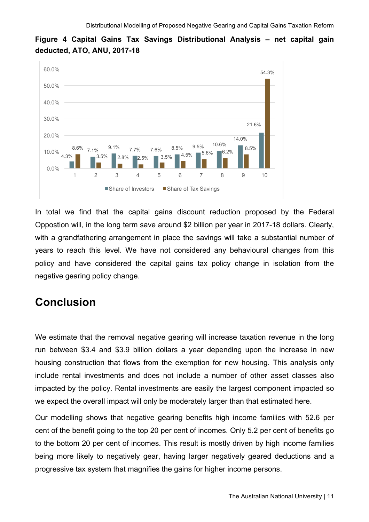

**Figure 4 Capital Gains Tax Savings Distributional Analysis – net capital gain deducted, ATO, ANU, 2017-18**

In total we find that the capital gains discount reduction proposed by the Federal Oppostion will, in the long term save around \$2 billion per year in 2017-18 dollars. Clearly, with a grandfathering arrangement in place the savings will take a substantial number of years to reach this level. We have not considered any behavioural changes from this policy and have considered the capital gains tax policy change in isolation from the negative gearing policy change.

## **Conclusion**

We estimate that the removal negative gearing will increase taxation revenue in the long run between \$3.4 and \$3.9 billion dollars a year depending upon the increase in new housing construction that flows from the exemption for new housing. This analysis only include rental investments and does not include a number of other asset classes also impacted by the policy. Rental investments are easily the largest component impacted so we expect the overall impact will only be moderately larger than that estimated here.

Our modelling shows that negative gearing benefits high income families with 52.6 per cent of the benefit going to the top 20 per cent of incomes. Only 5.2 per cent of benefits go to the bottom 20 per cent of incomes. This result is mostly driven by high income families being more likely to negatively gear, having larger negatively geared deductions and a progressive tax system that magnifies the gains for higher income persons.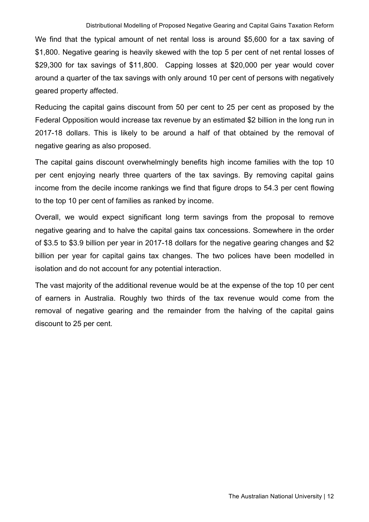We find that the typical amount of net rental loss is around \$5,600 for a tax saving of \$1,800. Negative gearing is heavily skewed with the top 5 per cent of net rental losses of \$29,300 for tax savings of \$11,800. Capping losses at \$20,000 per year would cover around a quarter of the tax savings with only around 10 per cent of persons with negatively geared property affected.

Reducing the capital gains discount from 50 per cent to 25 per cent as proposed by the Federal Opposition would increase tax revenue by an estimated \$2 billion in the long run in 2017-18 dollars. This is likely to be around a half of that obtained by the removal of negative gearing as also proposed.

The capital gains discount overwhelmingly benefits high income families with the top 10 per cent enjoying nearly three quarters of the tax savings. By removing capital gains income from the decile income rankings we find that figure drops to 54.3 per cent flowing to the top 10 per cent of families as ranked by income.

Overall, we would expect significant long term savings from the proposal to remove negative gearing and to halve the capital gains tax concessions. Somewhere in the order of \$3.5 to \$3.9 billion per year in 2017-18 dollars for the negative gearing changes and \$2 billion per year for capital gains tax changes. The two polices have been modelled in isolation and do not account for any potential interaction.

The vast majority of the additional revenue would be at the expense of the top 10 per cent of earners in Australia. Roughly two thirds of the tax revenue would come from the removal of negative gearing and the remainder from the halving of the capital gains discount to 25 per cent.